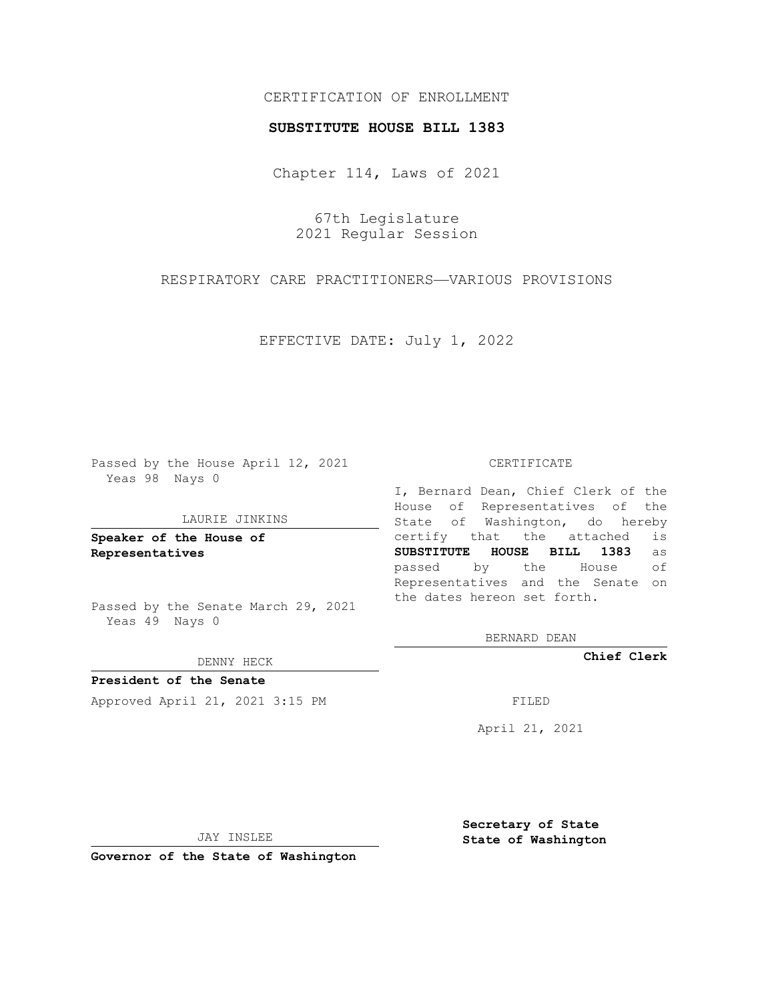## CERTIFICATION OF ENROLLMENT

### **SUBSTITUTE HOUSE BILL 1383**

Chapter 114, Laws of 2021

67th Legislature 2021 Regular Session

RESPIRATORY CARE PRACTITIONERS—VARIOUS PROVISIONS

EFFECTIVE DATE: July 1, 2022

Passed by the House April 12, 2021 Yeas 98 Nays 0

#### LAURIE JINKINS

**Speaker of the House of Representatives**

Passed by the Senate March 29, 2021 Yeas 49 Nays 0

DENNY HECK

**President of the Senate** Approved April 21, 2021 3:15 PM FILED

#### CERTIFICATE

I, Bernard Dean, Chief Clerk of the House of Representatives of the State of Washington, do hereby certify that the attached is **SUBSTITUTE HOUSE BILL 1383** as passed by the House of Representatives and the Senate on the dates hereon set forth.

BERNARD DEAN

**Chief Clerk**

April 21, 2021

JAY INSLEE

**Governor of the State of Washington**

**Secretary of State State of Washington**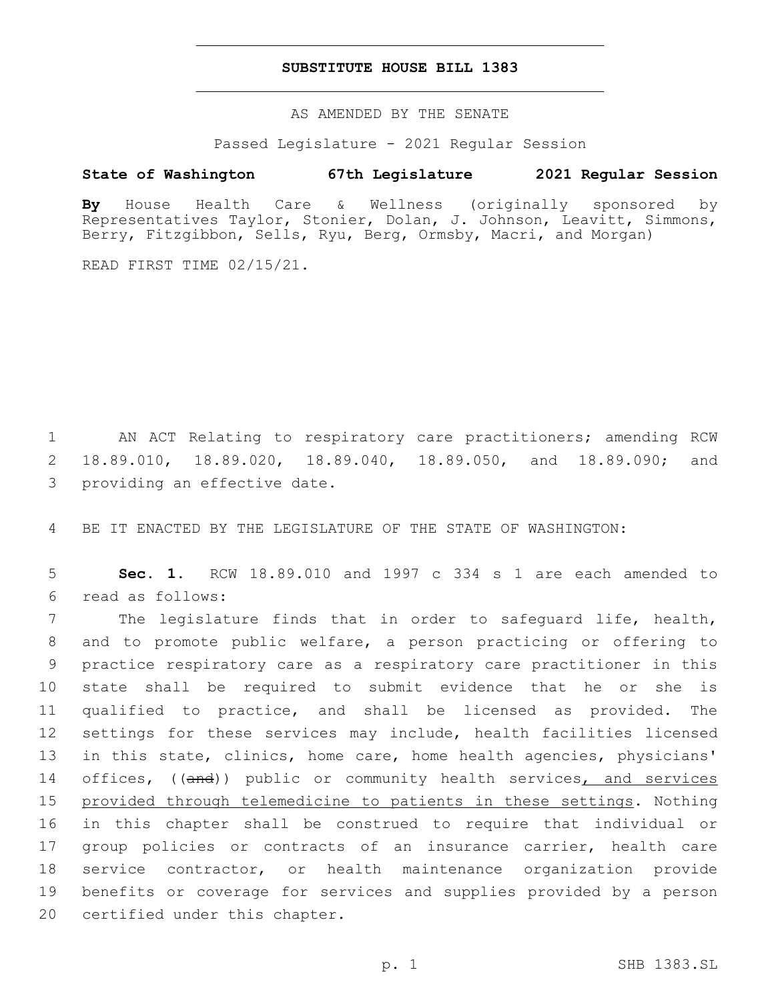## **SUBSTITUTE HOUSE BILL 1383**

AS AMENDED BY THE SENATE

Passed Legislature - 2021 Regular Session

# **State of Washington 67th Legislature 2021 Regular Session**

**By** House Health Care & Wellness (originally sponsored by Representatives Taylor, Stonier, Dolan, J. Johnson, Leavitt, Simmons, Berry, Fitzgibbon, Sells, Ryu, Berg, Ormsby, Macri, and Morgan)

READ FIRST TIME 02/15/21.

1 AN ACT Relating to respiratory care practitioners; amending RCW 2 18.89.010, 18.89.020, 18.89.040, 18.89.050, and 18.89.090; and 3 providing an effective date.

4 BE IT ENACTED BY THE LEGISLATURE OF THE STATE OF WASHINGTON:

5 **Sec. 1.** RCW 18.89.010 and 1997 c 334 s 1 are each amended to read as follows:6

 The legislature finds that in order to safeguard life, health, and to promote public welfare, a person practicing or offering to practice respiratory care as a respiratory care practitioner in this state shall be required to submit evidence that he or she is qualified to practice, and shall be licensed as provided. The settings for these services may include, health facilities licensed in this state, clinics, home care, home health agencies, physicians' 14 offices, ((and)) public or community health services, and services provided through telemedicine to patients in these settings. Nothing in this chapter shall be construed to require that individual or group policies or contracts of an insurance carrier, health care service contractor, or health maintenance organization provide benefits or coverage for services and supplies provided by a person 20 certified under this chapter.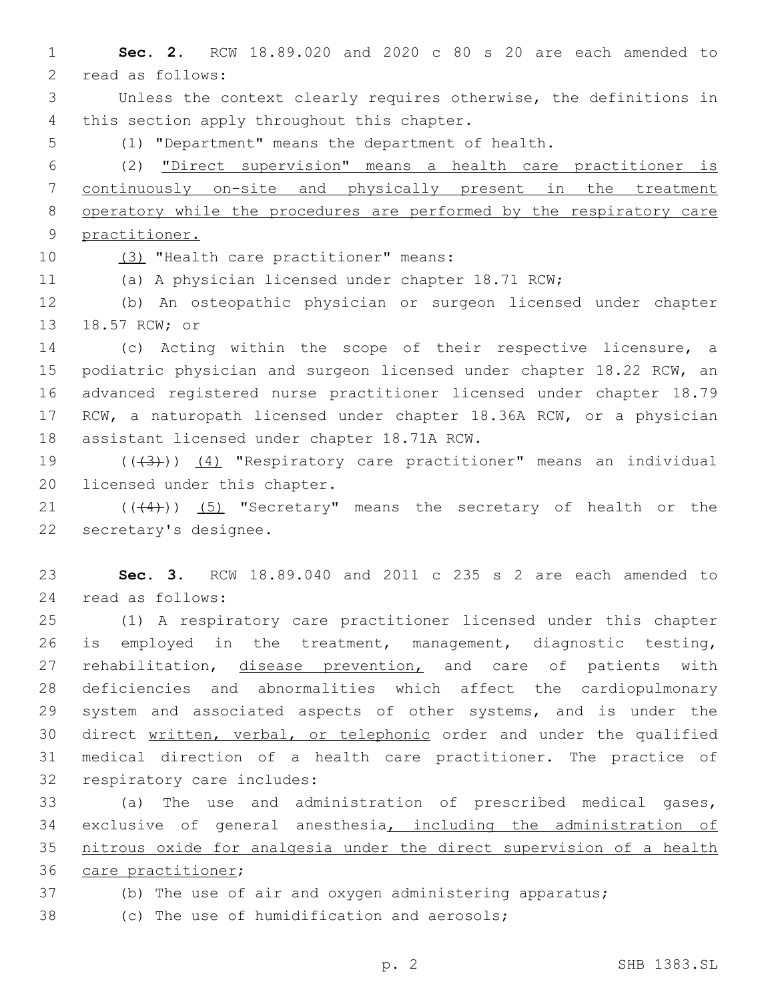1 **Sec. 2.** RCW 18.89.020 and 2020 c 80 s 20 are each amended to 2 read as follows:

3 Unless the context clearly requires otherwise, the definitions in 4 this section apply throughout this chapter.

5 (1) "Department" means the department of health.

 (2) "Direct supervision" means a health care practitioner is continuously on-site and physically present in the treatment operatory while the procedures are performed by the respiratory care practitioner.

10 (3) "Health care practitioner" means:

11 (a) A physician licensed under chapter 18.71 RCW;

12 (b) An osteopathic physician or surgeon licensed under chapter 13 18.57 RCW; or

14 (c) Acting within the scope of their respective licensure, a 15 podiatric physician and surgeon licensed under chapter 18.22 RCW, an 16 advanced registered nurse practitioner licensed under chapter 18.79 17 RCW, a naturopath licensed under chapter 18.36A RCW, or a physician 18 assistant licensed under chapter 18.71A RCW.

19 (((3)) (4) "Respiratory care practitioner" means an individual 20 licensed under this chapter.

21 (((4))) (5) "Secretary" means the secretary of health or the 22 secretary's designee.

23 **Sec. 3.** RCW 18.89.040 and 2011 c 235 s 2 are each amended to 24 read as follows:

 (1) A respiratory care practitioner licensed under this chapter is employed in the treatment, management, diagnostic testing, 27 rehabilitation, disease prevention, and care of patients with deficiencies and abnormalities which affect the cardiopulmonary 29 system and associated aspects of other systems, and is under the direct written, verbal, or telephonic order and under the qualified medical direction of a health care practitioner. The practice of 32 respiratory care includes:

 (a) The use and administration of prescribed medical gases, exclusive of general anesthesia, including the administration of nitrous oxide for analgesia under the direct supervision of a health 36 care practitioner;

- 
- 37 (b) The use of air and oxygen administering apparatus;
- 38 (c) The use of humidification and aerosols;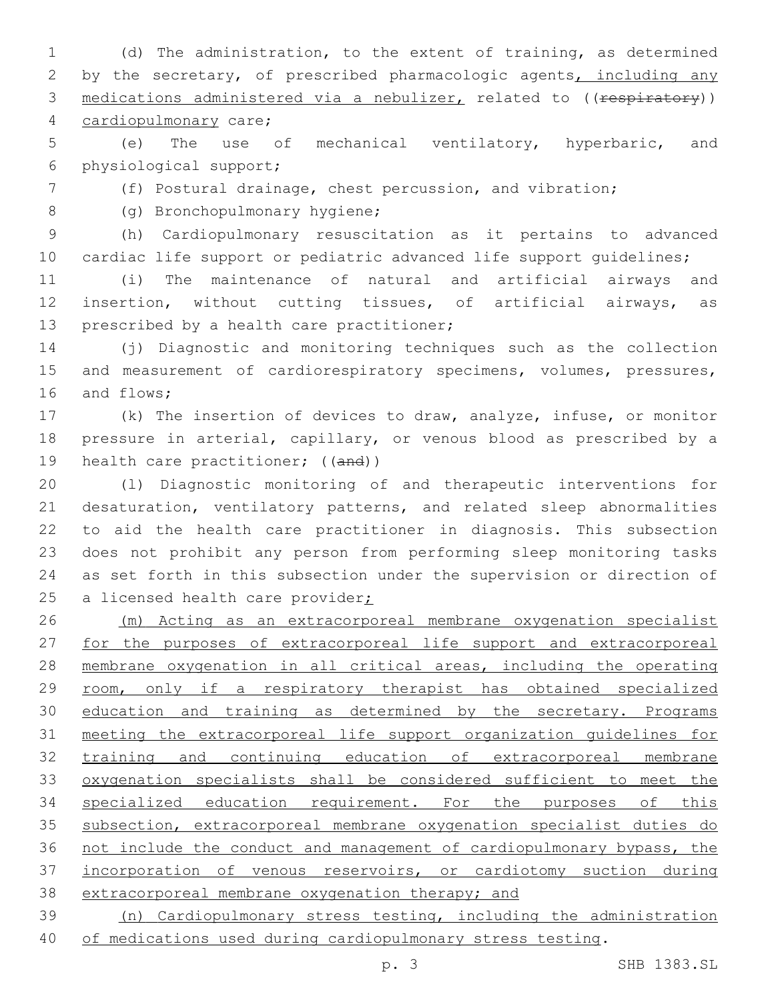(d) The administration, to the extent of training, as determined 2 by the secretary, of prescribed pharmacologic agents, including any 3 medications administered via a nebulizer, related to ((respiratory)) 4 cardiopulmonary care;

 (e) The use of mechanical ventilatory, hyperbaric, and physiological support;6

(f) Postural drainage, chest percussion, and vibration;

8 (g) Bronchopulmonary hygiene;

 (h) Cardiopulmonary resuscitation as it pertains to advanced 10 cardiac life support or pediatric advanced life support quidelines;

 (i) The maintenance of natural and artificial airways and insertion, without cutting tissues, of artificial airways, as 13 prescribed by a health care practitioner;

 (j) Diagnostic and monitoring techniques such as the collection 15 and measurement of cardiorespiratory specimens, volumes, pressures, 16 and flows;

 (k) The insertion of devices to draw, analyze, infuse, or monitor pressure in arterial, capillary, or venous blood as prescribed by a 19 health care practitioner; ((and))

 (l) Diagnostic monitoring of and therapeutic interventions for desaturation, ventilatory patterns, and related sleep abnormalities to aid the health care practitioner in diagnosis. This subsection does not prohibit any person from performing sleep monitoring tasks as set forth in this subsection under the supervision or direction of 25 a licensed health care provider;

 (m) Acting as an extracorporeal membrane oxygenation specialist 27 for the purposes of extracorporeal life support and extracorporeal membrane oxygenation in all critical areas, including the operating 29 room, only if a respiratory therapist has obtained specialized 30 education and training as determined by the secretary. Programs meeting the extracorporeal life support organization guidelines for training and continuing education of extracorporeal membrane oxygenation specialists shall be considered sufficient to meet the specialized education requirement. For the purposes of this subsection, extracorporeal membrane oxygenation specialist duties do 36 not include the conduct and management of cardiopulmonary bypass, the incorporation of venous reservoirs, or cardiotomy suction during extracorporeal membrane oxygenation therapy; and

 (n) Cardiopulmonary stress testing, including the administration of medications used during cardiopulmonary stress testing.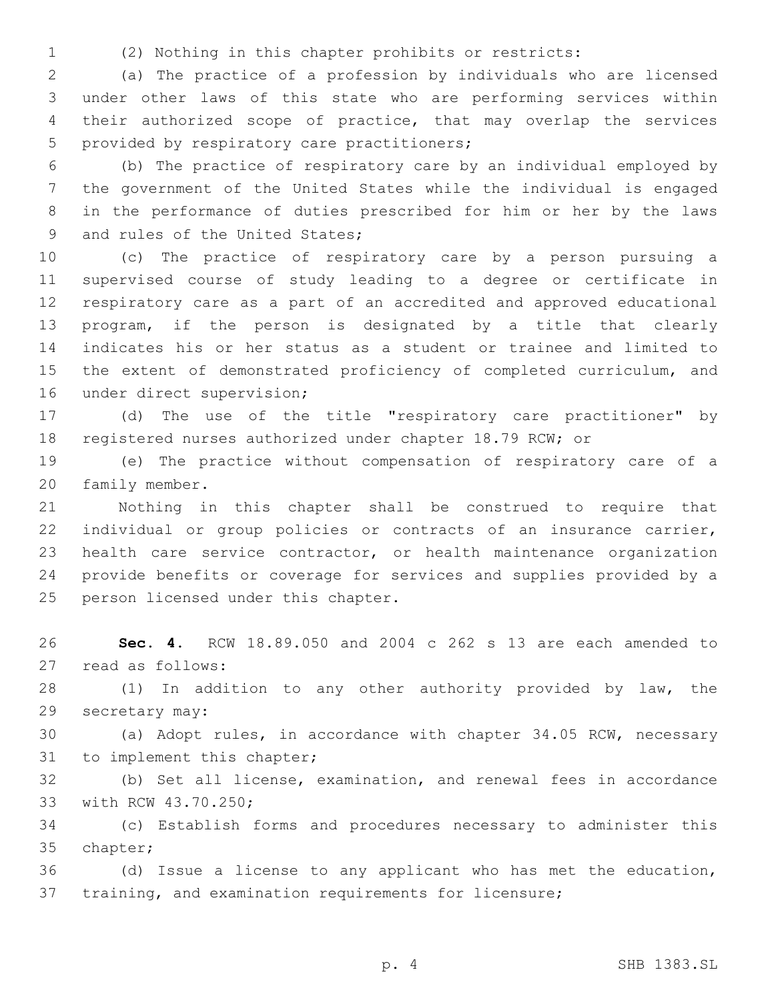(2) Nothing in this chapter prohibits or restricts:

 (a) The practice of a profession by individuals who are licensed under other laws of this state who are performing services within their authorized scope of practice, that may overlap the services 5 provided by respiratory care practitioners;

 (b) The practice of respiratory care by an individual employed by the government of the United States while the individual is engaged in the performance of duties prescribed for him or her by the laws 9 and rules of the United States;

 (c) The practice of respiratory care by a person pursuing a supervised course of study leading to a degree or certificate in respiratory care as a part of an accredited and approved educational program, if the person is designated by a title that clearly indicates his or her status as a student or trainee and limited to the extent of demonstrated proficiency of completed curriculum, and 16 under direct supervision;

 (d) The use of the title "respiratory care practitioner" by registered nurses authorized under chapter 18.79 RCW; or

 (e) The practice without compensation of respiratory care of a 20 family member.

 Nothing in this chapter shall be construed to require that individual or group policies or contracts of an insurance carrier, health care service contractor, or health maintenance organization provide benefits or coverage for services and supplies provided by a 25 person licensed under this chapter.

 **Sec. 4.** RCW 18.89.050 and 2004 c 262 s 13 are each amended to 27 read as follows:

 (1) In addition to any other authority provided by law, the 29 secretary may:

 (a) Adopt rules, in accordance with chapter 34.05 RCW, necessary 31 to implement this chapter;

 (b) Set all license, examination, and renewal fees in accordance 33 with RCW 43.70.250;

 (c) Establish forms and procedures necessary to administer this 35 chapter;

 (d) Issue a license to any applicant who has met the education, training, and examination requirements for licensure;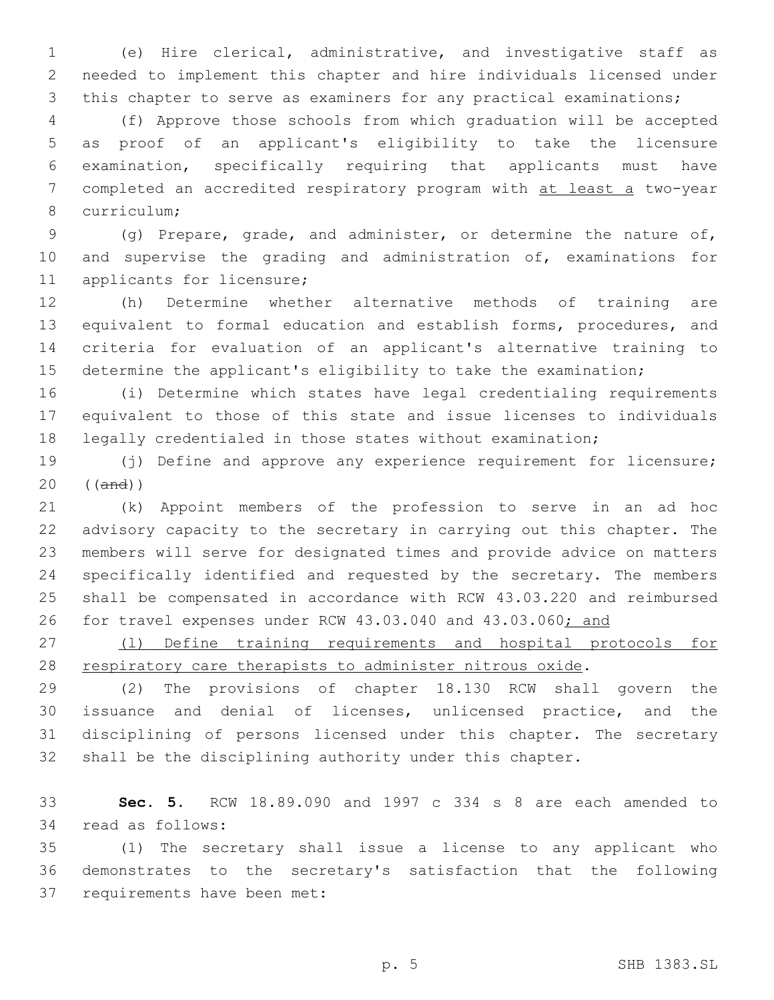(e) Hire clerical, administrative, and investigative staff as needed to implement this chapter and hire individuals licensed under this chapter to serve as examiners for any practical examinations;

 (f) Approve those schools from which graduation will be accepted as proof of an applicant's eligibility to take the licensure examination, specifically requiring that applicants must have 7 completed an accredited respiratory program with at least a two-year 8 curriculum;

 (g) Prepare, grade, and administer, or determine the nature of, and supervise the grading and administration of, examinations for 11 applicants for licensure;

 (h) Determine whether alternative methods of training are equivalent to formal education and establish forms, procedures, and criteria for evaluation of an applicant's alternative training to determine the applicant's eligibility to take the examination;

 (i) Determine which states have legal credentialing requirements equivalent to those of this state and issue licenses to individuals legally credentialed in those states without examination;

 (j) Define and approve any experience requirement for licensure; ((and))

 (k) Appoint members of the profession to serve in an ad hoc advisory capacity to the secretary in carrying out this chapter. The members will serve for designated times and provide advice on matters specifically identified and requested by the secretary. The members shall be compensated in accordance with RCW 43.03.220 and reimbursed 26 for travel expenses under RCW 43.03.040 and 43.03.060; and

 (l) Define training requirements and hospital protocols for 28 respiratory care therapists to administer nitrous oxide.

 (2) The provisions of chapter 18.130 RCW shall govern the issuance and denial of licenses, unlicensed practice, and the disciplining of persons licensed under this chapter. The secretary shall be the disciplining authority under this chapter.

 **Sec. 5.** RCW 18.89.090 and 1997 c 334 s 8 are each amended to 34 read as follows:

 (1) The secretary shall issue a license to any applicant who demonstrates to the secretary's satisfaction that the following 37 requirements have been met: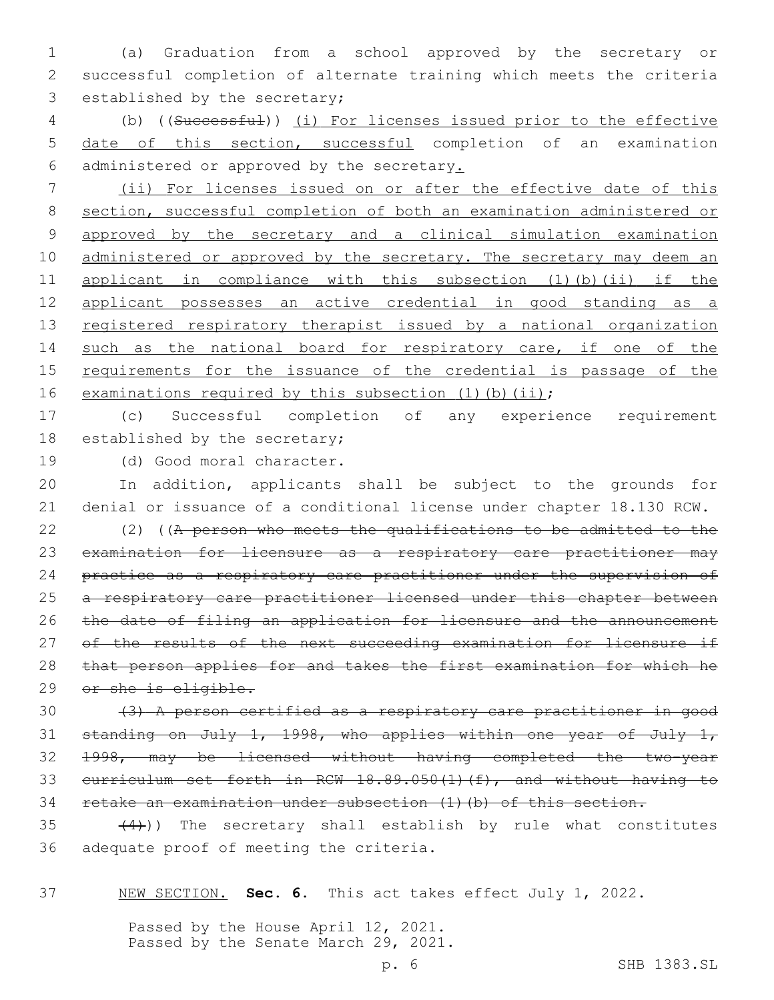1 (a) Graduation from a school approved by the secretary or 2 successful completion of alternate training which meets the criteria 3 established by the secretary;

4 (b) ((Successful)) (i) For licenses issued prior to the effective 5 date of this section, successful completion of an examination 6 administered or approved by the secretary.

7 (ii) For licenses issued on or after the effective date of this 8 section, successful completion of both an examination administered or 9 approved by the secretary and a clinical simulation examination 10 administered or approved by the secretary. The secretary may deem an 11 applicant in compliance with this subsection (1)(b)(ii) if the 12 applicant possesses an active credential in good standing as a 13 registered respiratory therapist issued by a national organization 14 such as the national board for respiratory care, if one of the 15 requirements for the issuance of the credential is passage of the 16 examinations required by this subsection (1)(b)(ii);

17 (c) Successful completion of any experience requirement 18 established by the secretary;

19 (d) Good moral character.

20 In addition, applicants shall be subject to the grounds for 21 denial or issuance of a conditional license under chapter 18.130 RCW.

22 (2) ((A person who meets the qualifications to be admitted to the 23 examination for licensure as a respiratory care practitioner may 24 practice as a respiratory care practitioner under the supervision of 25 a respiratory care practitioner licensed under this chapter between 26 the date of filing an application for licensure and the announcement 27 of the results of the next succeeding examination for licensure if 28 that person applies for and takes the first examination for which he 29 or she is eligible.

 (3) A person certified as a respiratory care practitioner in good standing on July 1, 1998, who applies within one year of July 1, 1998, may be licensed without having completed the two-year curriculum set forth in RCW 18.89.050(1)(f), and without having to retake an examination under subsection (1)(b) of this section.

 $(4)$ )) The secretary shall establish by rule what constitutes 36 adequate proof of meeting the criteria.

37 NEW SECTION. **Sec. 6.** This act takes effect July 1, 2022.

Passed by the House April 12, 2021. Passed by the Senate March 29, 2021.